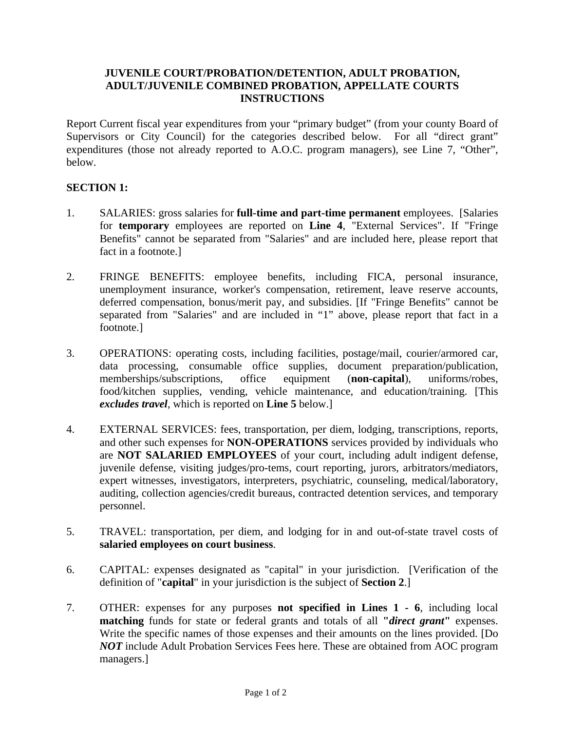# **JUVENILE COURT/PROBATION/DETENTION, ADULT PROBATION, ADULT/JUVENILE COMBINED PROBATION, APPELLATE COURTS INSTRUCTIONS**

Report Current fiscal year expenditures from your "primary budget" (from your county Board of Supervisors or City Council) for the categories described below. For all "direct grant" expenditures (those not already reported to A.O.C. program managers), see Line 7, "Other", below.

# **SECTION 1:**

- 1. SALARIES: gross salaries for **full-time and part-time permanent** employees. [Salaries for **temporary** employees are reported on **Line 4**, "External Services". If "Fringe Benefits" cannot be separated from "Salaries" and are included here, please report that fact in a footnote.]
- 2. FRINGE BENEFITS: employee benefits, including FICA, personal insurance, unemployment insurance, worker's compensation, retirement, leave reserve accounts, deferred compensation, bonus/merit pay, and subsidies. [If "Fringe Benefits" cannot be separated from "Salaries" and are included in "1" above, please report that fact in a footnote.]
- 3. OPERATIONS: operating costs, including facilities, postage/mail, courier/armored car, data processing, consumable office supplies, document preparation/publication, memberships/subscriptions, office equipment (**non-capital**), uniforms/robes, food/kitchen supplies, vending, vehicle maintenance, and education/training. [This *excludes travel*, which is reported on **Line 5** below.]
- 4. EXTERNAL SERVICES: fees, transportation, per diem, lodging, transcriptions, reports, and other such expenses for **NON-OPERATIONS** services provided by individuals who are **NOT SALARIED EMPLOYEES** of your court, including adult indigent defense, juvenile defense, visiting judges/pro-tems, court reporting, jurors, arbitrators/mediators, expert witnesses, investigators, interpreters, psychiatric, counseling, medical/laboratory, auditing, collection agencies/credit bureaus, contracted detention services, and temporary personnel.
- 5. TRAVEL: transportation, per diem, and lodging for in and out-of-state travel costs of **salaried employees on court business**.
- 6. CAPITAL: expenses designated as "capital" in your jurisdiction. [Verification of the definition of "**capital**" in your jurisdiction is the subject of **Section 2**.]
- 7. OTHER: expenses for any purposes **not specified in Lines 1 6**, including local **matching** funds for state or federal grants and totals of all **"***direct grant***"** expenses. Write the specific names of those expenses and their amounts on the lines provided. [Do *NOT* include Adult Probation Services Fees here. These are obtained from AOC program managers.]